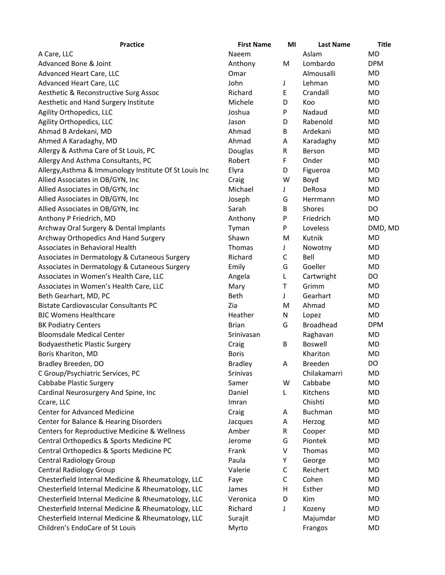| <b>Practice</b>                                        | <b>First Name</b> | MI           | <b>Last Name</b> | <b>Title</b> |
|--------------------------------------------------------|-------------------|--------------|------------------|--------------|
| A Care, LLC                                            | Naeem             |              | Aslam            | <b>MD</b>    |
| Advanced Bone & Joint                                  | Anthony           | M            | Lombardo         | <b>DPM</b>   |
| Advanced Heart Care, LLC                               | Omar              |              | Almousalli       | MD           |
| Advanced Heart Care, LLC                               | John              | J            | Lehman           | MD           |
| Aesthetic & Reconstructive Surg Assoc                  | Richard           | E            | Crandall         | MD           |
| Aesthetic and Hand Surgery Institute                   | Michele           | D            | Koo              | MD           |
| Agility Orthopedics, LLC                               | Joshua            | P            | Nadaud           | MD           |
| Agility Orthopedics, LLC                               | Jason             | D            | Rabenold         | MD           |
| Ahmad B Ardekani, MD                                   | Ahmad             | B            | Ardekani         | MD           |
| Ahmed A Karadaghy, MD                                  | Ahmad             | A            | Karadaghy        | MD           |
| Allergy & Asthma Care of St Louis, PC                  | Douglas           | R            | Berson           | MD           |
| Allergy And Asthma Consultants, PC                     | Robert            | F.           | Onder            | MD           |
| Allergy, Asthma & Immunology Institute Of St Louis Inc | Elyra             | D            | Figueroa         | MD           |
| Allied Associates in OB/GYN, Inc                       | Craig             | W            | Boyd             | MD           |
| Allied Associates in OB/GYN, Inc                       | Michael           | J            | DeRosa           | MD           |
| Allied Associates in OB/GYN, Inc                       | Joseph            | G            | Herrmann         | MD           |
| Allied Associates in OB/GYN, Inc                       | Sarah             | B            | Shores           | DO           |
| Anthony P Friedrich, MD                                | Anthony           | P            | Friedrich        | MD           |
| Archway Oral Surgery & Dental Implants                 | Tyman             | P            | Loveless         | DMD, MD      |
| Archway Orthopedics And Hand Surgery                   | Shawn             | M            | Kutnik           | MD           |
| Associates in Behavioral Health                        | Thomas            | J            | Nowotny          | MD           |
| Associates in Dermatology & Cutaneous Surgery          | Richard           | C            | Bell             | MD           |
| Associates in Dermatology & Cutaneous Surgery          | Emily             | G            | Goeller          | MD           |
| Associates in Women's Health Care, LLC                 | Angela            | L            | Cartwright       | DO           |
| Associates in Women's Health Care, LLC                 | Mary              | T            | Grimm            | MD           |
| Beth Gearhart, MD, PC                                  | Beth              | J            | Gearhart         | MD           |
| <b>Bistate Cardiovascular Consultants PC</b>           | Zia               | M            | Ahmad            | MD           |
| <b>BJC Womens Healthcare</b>                           | Heather           | N            | Lopez            | MD           |
| <b>BK Podiatry Centers</b>                             | <b>Brian</b>      | G            | <b>Broadhead</b> | <b>DPM</b>   |
| <b>Bloomsdale Medical Center</b>                       | Srinivasan        |              | Raghavan         | MD           |
| <b>Bodyaesthetic Plastic Surgery</b>                   | Craig             | B            | <b>Boswell</b>   | MD           |
| Boris Khariton, MD                                     | <b>Boris</b>      |              | Khariton         | <b>MD</b>    |
| Bradley Breeden, DO                                    | <b>Bradley</b>    | Α            | <b>Breeden</b>   | DO           |
| C Group/Psychiatric Services, PC                       | Srinivas          |              | Chilakamarri     | MD           |
| Cabbabe Plastic Surgery                                | Samer             | W            | Cabbabe          | MD           |
| Cardinal Neurosurgery And Spine, Inc                   | Daniel            | L            | Kitchens         | MD           |
| Ccare, LLC                                             | Imran             |              | Chishti          | MD           |
| <b>Center for Advanced Medicine</b>                    | Craig             | Α            | <b>Buchman</b>   | MD           |
| Center for Balance & Hearing Disorders                 | Jacques           | Α            | Herzog           | MD           |
| Centers for Reproductive Medicine & Wellness           | Amber             | R            | Cooper           | MD           |
| Central Orthopedics & Sports Medicine PC               | Jerome            | G            | Piontek          | MD           |
| Central Orthopedics & Sports Medicine PC               | Frank             | V            | Thomas           | MD           |
| <b>Central Radiology Group</b>                         | Paula             | Υ            | George           | MD           |
| <b>Central Radiology Group</b>                         | Valerie           | C            | Reichert         | MD           |
| Chesterfield Internal Medicine & Rheumatology, LLC     | Faye              | $\mathsf{C}$ | Cohen            | MD           |
| Chesterfield Internal Medicine & Rheumatology, LLC     | James             | н            | Esther           | MD           |
| Chesterfield Internal Medicine & Rheumatology, LLC     | Veronica          | D            | Kim              | MD           |
| Chesterfield Internal Medicine & Rheumatology, LLC     | Richard           | J            | Kozeny           | MD           |
| Chesterfield Internal Medicine & Rheumatology, LLC     | Surajit           |              | Majumdar         | MD           |
| Children's EndoCare of St Louis                        | Myrto             |              | Frangos          | MD           |
|                                                        |                   |              |                  |              |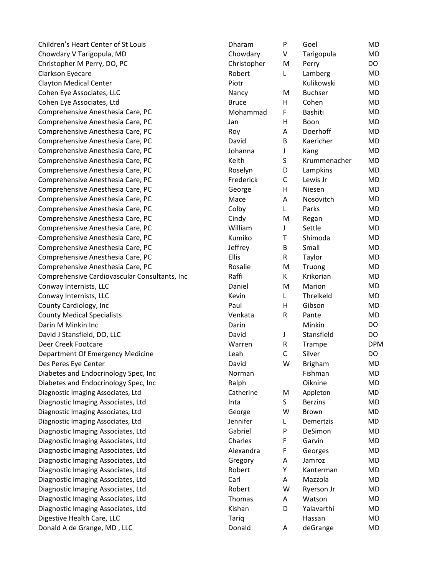| Children's Heart Center of St Louis           | Dharam       | P           | Goel           | MD         |
|-----------------------------------------------|--------------|-------------|----------------|------------|
| Chowdary V Tarigopula, MD                     | Chowdary     | V           | Tarigopula     | MD         |
| Christopher M Perry, DO, PC                   | Christopher  | M           | Perry          | DO         |
| Clarkson Eyecare                              | Robert       | L           | Lamberg        | MD         |
| <b>Clayton Medical Center</b>                 | Piotr        |             | Kulikowski     | MD         |
| Cohen Eye Associates, LLC                     | Nancy        | M           | <b>Buchser</b> | MD         |
| Cohen Eye Associates, Ltd                     | <b>Bruce</b> | н           | Cohen          | <b>MD</b>  |
| Comprehensive Anesthesia Care, PC             | Mohammad     | F           | Bashiti        | MD         |
| Comprehensive Anesthesia Care, PC             | Jan          | Η           | Boon           | MD         |
| Comprehensive Anesthesia Care, PC             | Roy          | Α           | Doerhoff       | MD         |
| Comprehensive Anesthesia Care, PC             | David        | В           | Kaericher      | MD         |
| Comprehensive Anesthesia Care, PC             | Johanna      | J           | Kang           | MD         |
| Comprehensive Anesthesia Care, PC             | Keith        | S           | Krummenacher   | MD         |
| Comprehensive Anesthesia Care, PC             | Roselyn      | D           | Lampkins       | MD         |
| Comprehensive Anesthesia Care, PC             | Frederick    | $\mathsf C$ | Lewis Jr       | MD         |
| Comprehensive Anesthesia Care, PC             | George       | н           | Niesen         | <b>MD</b>  |
| Comprehensive Anesthesia Care, PC             | Mace         | Α           | Nosovitch      | MD         |
| Comprehensive Anesthesia Care, PC             | Colby        | L           | Parks          | MD         |
| Comprehensive Anesthesia Care, PC             | Cindy        | M           | Regan          | MD         |
| Comprehensive Anesthesia Care, PC             | William      | J           | Settle         | MD         |
| Comprehensive Anesthesia Care, PC             | Kumiko       | Τ           | Shimoda        | MD         |
| Comprehensive Anesthesia Care, PC             | Jeffrey      | B           | Small          | MD         |
| Comprehensive Anesthesia Care, PC             | Ellis        | R           | Taylor         | MD         |
| Comprehensive Anesthesia Care, PC             | Rosalie      | M           | Truong         | MD         |
| Comprehensive Cardiovascular Consultants, Inc | Raffi        | K           | Krikorian      | <b>MD</b>  |
| Conway Internists, LLC                        | Daniel       | M           | Marion         | MD         |
| Conway Internists, LLC                        | Kevin        | L           | Threlkeld      | MD         |
| County Cardiology, Inc                        | Paul         | Η           | Gibson         | MD         |
| <b>County Medical Specialists</b>             | Venkata      | R           | Pante          | MD         |
| Darin M Minkin Inc                            | Darin        |             | Minkin         | DO         |
| David J Stansfield, DO, LLC                   | David        | J           | Stansfield     | DO         |
| Deer Creek Footcare                           | Warren       | R           | Trampe         | <b>DPM</b> |
| Department Of Emergency Medicine              | Leah         | $\mathsf C$ | Silver         | DO         |
| Des Peres Eye Center                          | David        | W           | <b>Brigham</b> | <b>MD</b>  |
| Diabetes and Endocrinology Spec, Inc          | Norman       |             | Fishman        | MD         |
| Diabetes and Endocrinology Spec, Inc          | Ralph        |             | Oiknine        | MD         |
| Diagnostic Imaging Associates, Ltd            | Catherine    | M           | Appleton       | MD         |
| Diagnostic Imaging Associates, Ltd            | Inta         | S           | <b>Berzins</b> | MD         |
| Diagnostic Imaging Associates, Ltd            | George       | W           | Brown          | MD         |
| Diagnostic Imaging Associates, Ltd            | Jennifer     | L           | Demertzis      | MD         |
| Diagnostic Imaging Associates, Ltd            | Gabriel      | P           | DeSimon        | MD         |
| Diagnostic Imaging Associates, Ltd            | Charles      | F           | Garvin         | MD         |
| Diagnostic Imaging Associates, Ltd            | Alexandra    | F           | Georges        | MD         |
| Diagnostic Imaging Associates, Ltd            | Gregory      | A           | Jamroz         | MD         |
| Diagnostic Imaging Associates, Ltd            | Robert       | Υ           | Kanterman      | MD         |
| Diagnostic Imaging Associates, Ltd            | Carl         | Α           | Mazzola        | MD         |
| Diagnostic Imaging Associates, Ltd            | Robert       | W           | Ryerson Jr     | MD         |
| Diagnostic Imaging Associates, Ltd            | Thomas       | Α           | Watson         | MD         |
| Diagnostic Imaging Associates, Ltd            | Kishan       | D           | Yalavarthi     | MD         |
| Digestive Health Care, LLC                    | Tariq        |             | Hassan         | MD         |
| Donald A de Grange, MD, LLC                   | Donald       | Α           | deGrange       | MD         |
|                                               |              |             |                |            |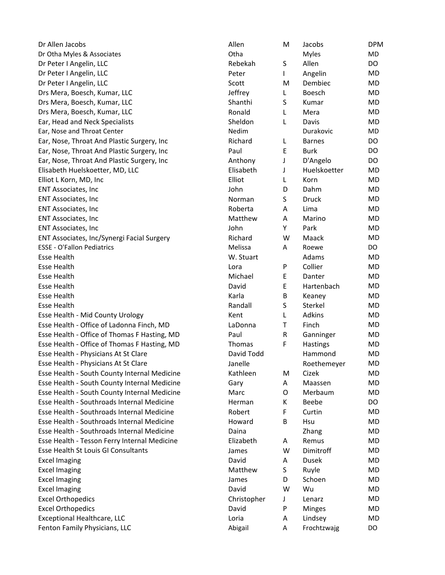| Dr Allen Jacobs                              | Allen          | М      | Jacobs        | <b>DPI</b>             |
|----------------------------------------------|----------------|--------|---------------|------------------------|
| Dr Otha Myles & Associates                   | Otha           |        | <b>Myles</b>  | <b>MD</b>              |
| Dr Peter I Angelin, LLC                      | Rebekah        | S      | Allen         | DO                     |
| Dr Peter I Angelin, LLC                      | Peter          | L      | Angelin       | <b>MD</b>              |
| Dr Peter I Angelin, LLC                      | Scott          | Μ      | Dembiec       | <b>MD</b>              |
| Drs Mera, Boesch, Kumar, LLC                 | Jeffrey        | L      | Boesch        | <b>MD</b>              |
| Drs Mera, Boesch, Kumar, LLC                 | Shanthi        | S      | Kumar         | <b>MD</b>              |
| Drs Mera, Boesch, Kumar, LLC                 | Ronald         | L      | Mera          | <b>MD</b>              |
| Ear, Head and Neck Specialists               | Sheldon        | L      | Davis         | <b>MD</b>              |
| Ear, Nose and Throat Center                  | Nedim          |        | Durakovic     | MD                     |
| Ear, Nose, Throat And Plastic Surgery, Inc   | Richard        | L      | <b>Barnes</b> | DO                     |
| Ear, Nose, Throat And Plastic Surgery, Inc   | Paul           | E      | <b>Burk</b>   | DO                     |
| Ear, Nose, Throat And Plastic Surgery, Inc   | Anthony        | J      | D'Angelo      | DO                     |
| Elisabeth Huelskoetter, MD, LLC              | Elisabeth      | J      | Huelskoetter  | <b>MD</b>              |
| Elliot L Korn, MD, Inc                       | Elliot         | L      | Korn          | <b>MD</b>              |
| <b>ENT Associates, Inc</b>                   | John           | D      | Dahm          | <b>MD</b>              |
| <b>ENT Associates, Inc</b>                   | Norman         | S      | Druck         | <b>MD</b>              |
| <b>ENT Associates, Inc</b>                   | Roberta        | Α      | Lima          | <b>MD</b>              |
| <b>ENT Associates, Inc</b>                   | Matthew        | Α      | Marino        | <b>MD</b>              |
| <b>ENT Associates, Inc</b>                   | John           | Y      | Park          | <b>MD</b>              |
| ENT Associates, Inc/Synergi Facial Surgery   | Richard        | W      | Maack         | <b>MD</b>              |
| <b>ESSE - O'Fallon Pediatrics</b>            | Melissa        | A      | Roewe         | DO                     |
| <b>Esse Health</b>                           | W. Stuart      |        | Adams         | <b>MD</b>              |
| <b>Esse Health</b>                           | Lora           | P      | Collier       | <b>MD</b>              |
| <b>Esse Health</b>                           | Michael        | E      | Danter        | <b>MD</b>              |
| <b>Esse Health</b>                           | David          | E      | Hartenbach    | <b>MD</b>              |
| <b>Esse Health</b>                           | Karla          | В      | Keaney        | <b>MD</b>              |
| <b>Esse Health</b>                           | Randall        | S      | Sterkel       | <b>MD</b>              |
| Esse Health - Mid County Urology             | Kent           | L      | <b>Adkins</b> | <b>MD</b>              |
| Esse Health - Office of Ladonna Finch, MD    | LaDonna        | Τ      | Finch         | <b>MD</b>              |
| Esse Health - Office of Thomas F Hasting, MD | Paul           | R      | Ganninger     | <b>MD</b>              |
| Esse Health - Office of Thomas F Hasting, MD | <b>Thomas</b>  | F      | Hastings      | <b>MD</b>              |
| Esse Health - Physicians At St Clare         | David Todd     |        | Hammond       | <b>MD</b>              |
| Esse Health - Physicians At St Clare         | Janelle        |        | Roethemeyer   | <b>MD</b>              |
| Esse Health - South County Internal Medicine | Kathleen       | M      | Cizek         | <b>MD</b>              |
| Esse Health - South County Internal Medicine | Gary           | Α      | Maassen       | <b>MD</b>              |
| Esse Health - South County Internal Medicine | Marc           | O      | Merbaum       | <b>MD</b>              |
| Esse Health - Southroads Internal Medicine   | Herman         | K      | Beebe         | DO                     |
| Esse Health - Southroads Internal Medicine   | Robert         | F      | Curtin        | <b>MD</b>              |
| Esse Health - Southroads Internal Medicine   | Howard         | B      | Hsu           | <b>MD</b>              |
| Esse Health - Southroads Internal Medicine   | Daina          |        | Zhang         | <b>MD</b>              |
| Esse Health - Tesson Ferry Internal Medicine | Elizabeth      | Α      | Remus         | <b>MD</b>              |
| Esse Health St Louis GI Consultants          | James          | W      | Dimitroff     | <b>MD</b>              |
| <b>Excel Imaging</b>                         | David          | Α      | <b>Dusek</b>  | <b>MD</b>              |
| <b>Excel Imaging</b>                         | Matthew        | S      | Ruyle         | <b>MD</b>              |
|                                              |                |        | Schoen        |                        |
| <b>Excel Imaging</b>                         | James<br>David | D<br>W | Wu            | <b>MD</b><br><b>MD</b> |
| <b>Excel Imaging</b>                         |                |        |               |                        |
| <b>Excel Orthopedics</b>                     | Christopher    | J      | Lenarz        | <b>MD</b>              |
| <b>Excel Orthopedics</b>                     | David<br>Loria | P      | Minges        | <b>MD</b>              |
| Exceptional Healthcare, LLC                  |                | Α      | Lindsey       | <b>MD</b>              |
| Fenton Family Physicians, LLC                | Abigail        | Α      | Frochtzwajg   | DO                     |

| Dr Allen Jacobs                              | Allen       | М           | Jacobs        | <b>DPM</b> |
|----------------------------------------------|-------------|-------------|---------------|------------|
| Dr Otha Myles & Associates                   | Otha        |             | <b>Myles</b>  | MD         |
| Dr Peter I Angelin, LLC                      | Rebekah     | S           | Allen         | DO         |
| Dr Peter I Angelin, LLC                      | Peter       | L           | Angelin       | MD         |
| Dr Peter I Angelin, LLC                      | Scott       | M           | Dembiec       | MD         |
| Drs Mera, Boesch, Kumar, LLC                 | Jeffrey     | L           | Boesch        | MD         |
| Drs Mera, Boesch, Kumar, LLC                 | Shanthi     | S           | Kumar         | MD         |
| Drs Mera, Boesch, Kumar, LLC                 | Ronald      | L           | Mera          | MD         |
| Ear, Head and Neck Specialists               | Sheldon     | L           | Davis         | MD         |
| Ear, Nose and Throat Center                  | Nedim       |             | Durakovic     | MD         |
| Ear, Nose, Throat And Plastic Surgery, Inc   | Richard     | L           | <b>Barnes</b> | DO.        |
| Ear, Nose, Throat And Plastic Surgery, Inc   | Paul        | Е           | <b>Burk</b>   | DO         |
| Ear, Nose, Throat And Plastic Surgery, Inc   | Anthony     | J           | D'Angelo      | DO         |
| Elisabeth Huelskoetter, MD, LLC              | Elisabeth   | J           | Huelskoetter  | MD         |
| Elliot L Korn, MD, Inc                       | Elliot      | L           | Korn          | MD         |
| <b>ENT Associates, Inc</b>                   | John        | D           | Dahm          | MD         |
| <b>ENT Associates, Inc</b>                   | Norman      | S           | Druck         | MD         |
| <b>ENT Associates, Inc</b>                   | Roberta     | A           | Lima          | MD         |
| <b>ENT Associates, Inc</b>                   | Matthew     | A           | Marino        | MD         |
| <b>ENT Associates, Inc</b>                   | John        | Υ           | Park          | MD         |
| ENT Associates, Inc/Synergi Facial Surgery   | Richard     | W           | Maack         | MD         |
| <b>ESSE - O'Fallon Pediatrics</b>            | Melissa     | A           | Roewe         | DO         |
| Esse Health                                  | W. Stuart   |             | Adams         | MD         |
| Esse Health                                  | Lora        | P           | Collier       | MD         |
| <b>Esse Health</b>                           | Michael     | E           | Danter        | MD         |
| Esse Health                                  | David       | E           | Hartenbach    | MD         |
| <b>Esse Health</b>                           | Karla       | B           | Keaney        | MD         |
| <b>Esse Health</b>                           | Randall     | S           | Sterkel       | MD         |
| Esse Health - Mid County Urology             | Kent        | L           | Adkins        | MD         |
| Esse Health - Office of Ladonna Finch, MD    | LaDonna     | Τ           | Finch         | MD         |
| Esse Health - Office of Thomas F Hasting, MD | Paul        | $\mathsf R$ | Ganninger     | MD         |
| Esse Health - Office of Thomas F Hasting, MD | Thomas      | F           | Hastings      | MD         |
| Esse Health - Physicians At St Clare         | David Todd  |             | Hammond       | MD         |
| Esse Health - Physicians At St Clare         | Janelle     |             | Roethemeyer   | MD         |
| Esse Health - South County Internal Medicine | Kathleen    | M           | Cizek         | MD         |
| Esse Health - South County Internal Medicine | Gary        | Α           | Maassen       | MD         |
| Esse Health - South County Internal Medicine | Marc        | O           | Merbaum       | MD         |
| Esse Health - Southroads Internal Medicine   | Herman      | K           | Beebe         | DO         |
| Esse Health - Southroads Internal Medicine   | Robert      | F           | Curtin        | MD         |
| Esse Health - Southroads Internal Medicine   | Howard      | B           | Hsu           | MD         |
| Esse Health - Southroads Internal Medicine   | Daina       |             | Zhang         | MD         |
| Esse Health - Tesson Ferry Internal Medicine | Elizabeth   | Α           | Remus         | MD         |
| Esse Health St Louis GI Consultants          | James       | W           | Dimitroff     | MD         |
| <b>Excel Imaging</b>                         | David       | Α           | Dusek         | MD         |
| <b>Excel Imaging</b>                         | Matthew     | S           | Ruyle         | MD         |
| <b>Excel Imaging</b>                         | James       | D           | Schoen        | MD         |
| <b>Excel Imaging</b>                         | David       | W           | Wu            | MD         |
| <b>Excel Orthopedics</b>                     | Christopher | J           | Lenarz        | MD         |
| <b>Excel Orthopedics</b>                     | David       | P           | Minges        | MD         |
| <b>Exceptional Healthcare, LLC</b>           | Loria       | A           | Lindsey       | MD         |
| Fenton Family Physicians, LLC                | Abigail     | A           | Frochtzwajg   | DO         |
|                                              |             |             |               |            |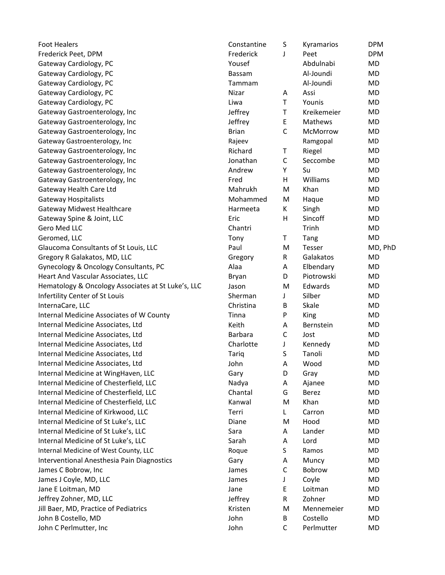| <b>Foot Healers</b>                                | Constantine  | S            | Kyramarios  | <b>DPM</b> |
|----------------------------------------------------|--------------|--------------|-------------|------------|
| Frederick Peet, DPM                                | Frederick    | J            | Peet        | <b>DPM</b> |
| Gateway Cardiology, PC                             | Yousef       |              | Abdulnabi   | <b>MD</b>  |
| Gateway Cardiology, PC                             | Bassam       |              | Al-Joundi   | MD         |
| Gateway Cardiology, PC                             | Tammam       |              | Al-Joundi   | MD         |
| Gateway Cardiology, PC                             | Nizar        | Α            | Assi        | MD         |
| Gateway Cardiology, PC                             | Liwa         | T            | Younis      | MD         |
| Gateway Gastroenterology, Inc                      | Jeffrey      | T            | Kreikemeier | <b>MD</b>  |
| Gateway Gastroenterology, Inc                      | Jeffrey      | E,           | Mathews     | MD         |
| Gateway Gastroenterology, Inc                      | <b>Brian</b> | $\mathsf{C}$ | McMorrow    | <b>MD</b>  |
| Gateway Gastroenterology, Inc                      | Rajeev       |              | Ramgopal    | MD         |
| Gateway Gastroenterology, Inc                      | Richard      | Τ            | Riegel      | <b>MD</b>  |
| Gateway Gastroenterology, Inc                      | Jonathan     | $\mathsf C$  | Seccombe    | <b>MD</b>  |
| Gateway Gastroenterology, Inc                      | Andrew       | Υ            | Su          | MD         |
| Gateway Gastroenterology, Inc                      | Fred         | н            | Williams    | <b>MD</b>  |
| Gateway Health Care Ltd                            | Mahrukh      | M            | Khan        | MD         |
| <b>Gateway Hospitalists</b>                        | Mohammed     | M            | Haque       | <b>MD</b>  |
| Gateway Midwest Healthcare                         | Harmeeta     | Κ            | Singh       | MD         |
| Gateway Spine & Joint, LLC                         | Eric         | H            | Sincoff     | MD         |
| Gero Med LLC                                       | Chantri      |              | Trinh       | <b>MD</b>  |
| Geromed, LLC                                       | Tony         | Τ            | Tang        | <b>MD</b>  |
| Glaucoma Consultants of St Louis, LLC              | Paul         | M            | Tesser      | MD, PhD    |
| Gregory R Galakatos, MD, LLC                       | Gregory      | R            | Galakatos   | <b>MD</b>  |
| Gynecology & Oncology Consultants, PC              | Alaa         | Α            | Elbendary   | MD         |
| Heart And Vascular Associates, LLC                 | Bryan        | D            | Piotrowski  | MD         |
| Hematology & Oncology Associates at St Luke's, LLC | Jason        | M            | Edwards     | <b>MD</b>  |
| Infertility Center of St Louis                     | Sherman      | J            | Silber      | MD         |
| InternaCare, LLC                                   | Christina    | B            | Skale       | MD         |
| Internal Medicine Associates of W County           | Tinna        | P            | King        | MD         |
| Internal Medicine Associates, Ltd                  | Keith        | Α            | Bernstein   | MD         |
| Internal Medicine Associates, Ltd                  | Barbara      | $\mathsf C$  | Jost        | <b>MD</b>  |
| Internal Medicine Associates, Ltd                  | Charlotte    | J            | Kennedy     | MD         |
| Internal Medicine Associates, Ltd                  | <b>Tariq</b> | S            | Tanoli      | <b>MD</b>  |
| Internal Medicine Associates, Ltd                  | John         | Α            | Wood        | <b>MD</b>  |
| Internal Medicine at WingHaven, LLC                | Gary         | D            | Gray        | <b>MD</b>  |
| Internal Medicine of Chesterfield, LLC             | Nadya        | Α            | Ajanee      | MD         |
| Internal Medicine of Chesterfield, LLC             | Chantal      | G            | Berez       | <b>MD</b>  |
| Internal Medicine of Chesterfield, LLC             | Kanwal       | M            | Khan        | MD         |
| Internal Medicine of Kirkwood, LLC                 | Terri        | L            | Carron      | MD         |
| Internal Medicine of St Luke's, LLC                | Diane        | M            | Hood        | MD         |
| Internal Medicine of St Luke's, LLC                | Sara         | Α            | Lander      | MD         |
| Internal Medicine of St Luke's, LLC                | Sarah        | Α            | Lord        | <b>MD</b>  |
| Internal Medicine of West County, LLC              | Roque        | S            | Ramos       | MD         |
| Interventional Anesthesia Pain Diagnostics         | Gary         | Α            | Muncy       | <b>MD</b>  |
| James C Bobrow, Inc                                | James        | $\mathsf C$  | Bobrow      | MD         |
| James J Coyle, MD, LLC                             | James        | J            | Coyle       | <b>MD</b>  |
| Jane E Loitman, MD                                 | Jane         | E            | Loitman     | MD         |
| Jeffrey Zohner, MD, LLC                            | Jeffrey      | R            | Zohner      | MD         |
| Jill Baer, MD, Practice of Pediatrics              | Kristen      | M            | Mennemeier  | MD         |
| John B Costello, MD                                | John         | В            | Costello    | MD         |
| John C Perlmutter, Inc                             | John         | $\mathsf C$  | Perlmutter  | MD         |
|                                                    |              |              |             |            |

| onstantine           | S | Kyramarios      | <b>DPM</b> |
|----------------------|---|-----------------|------------|
| ederick <sup>-</sup> | J | Peet            | <b>DPM</b> |
| pusef                |   | Abdulnabi       | MD         |
| assam                |   | Al-Joundi       | MD         |
| ammam                |   | Al-Joundi       | MD         |
| izar                 | А | Assi            | MD         |
| wa                   | T | Younis          | MD         |
| effrey               | T | Kreikemeier     | MD         |
| effrey               | Е | Mathews         | MD         |
| rian                 | C | <b>McMorrow</b> | MD         |
| ajeev                |   | Ramgopal        | MD         |
| ichard               | т | Riegel          | MD         |
| onathan              | C | Seccombe        | MD         |
| ndrew                | Υ | Su              | MD         |
| ed.                  | н | Williams        | MD         |
| <b>lahrukh</b>       | M | Khan            | MD         |
| <b>Iohammed</b>      | M | Haque           | MD         |
| armeeta              | К | Singh           | MD         |
| ric                  | н | Sincoff         | MD         |
| hantri               |   | Trinh           | MD         |
| ony                  | Τ | Tang            | MD         |
| aul                  | м | Tesser          | MD, PhI    |
| regory               | R | Galakatos       | MD         |
| laa                  | Α | Elbendary       | MD         |
| ryan                 | D | Piotrowski      | MD         |
| ıson                 | M | Edwards         | MD         |
| nerman               | J | Silber          | MD         |
| hristina             | B | Skale           | MD         |
| nna                  | P | King            | MD         |
| eith                 | Α | Bernstein       | MD         |
| arbara               | C | Jost            | MD         |
| harlotte             | J | Kennedy         | MD         |
| ariq                 | S | Tanoli          | MD         |
| hn (                 | А | Wood            | MD         |
| ary                  | D | Gray            | MD         |
| adya                 | А | Ajanee          | MD         |
| hantal               | G | <b>Berez</b>    | MD         |
| anwal                | Μ | Khan            | MD         |
| erri                 | L | Carron          | MD         |
| iane                 | M | Hood            | MD         |
| ara                  | Α | Lander          | MD         |
| arah                 | Α | Lord            | <b>MD</b>  |
| oque                 | S | Ramos           | MD         |
| ary                  | Α | Muncy           | MD         |
| ımes                 | C | Bobrow          | MD         |
| ımes                 | J | Coyle           | MD         |
| ıne                  | Ε | Loitman         | MD         |
| effrey!              | R | Zohner          | MD         |
| risten               | M | Mennemeier      | MD         |
| hn                   | В | Costello        | MD         |
| bhn                  | C | Perlmutter      | MD         |
|                      |   |                 |            |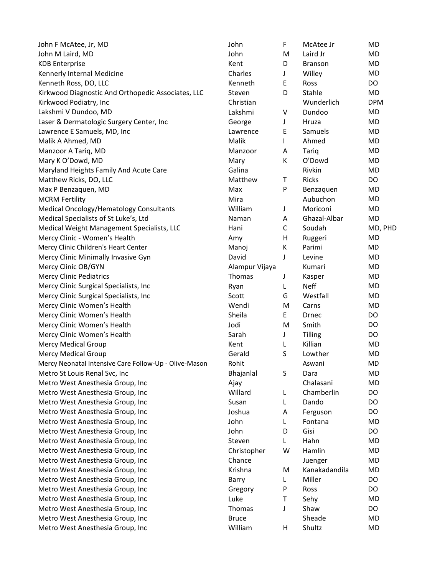| John F McAtee, Jr, MD                                 | John           | F            | McAtee Jr     | <b>MD</b>  |
|-------------------------------------------------------|----------------|--------------|---------------|------------|
| John M Laird, MD                                      | John           | M            | Laird Jr      | MD         |
| <b>KDB</b> Enterprise                                 | Kent           | D            | Branson       | <b>MD</b>  |
| Kennerly Internal Medicine                            | Charles        | J            | Willey        | <b>MD</b>  |
| Kenneth Ross, DO, LLC                                 | Kenneth        | Ε            | Ross          | DO         |
| Kirkwood Diagnostic And Orthopedic Associates, LLC    | Steven         | D            | Stahle        | MD         |
| Kirkwood Podiatry, Inc                                | Christian      |              | Wunderlich    | <b>DPM</b> |
| Lakshmi V Dundoo, MD                                  | Lakshmi        | V            | Dundoo        | <b>MD</b>  |
| Laser & Dermatologic Surgery Center, Inc              | George         | J            | Hruza         | MD         |
| Lawrence E Samuels, MD, Inc                           | Lawrence       | E            | Samuels       | MD         |
| Malik A Ahmed, MD                                     | Malik          | $\mathsf{L}$ | Ahmed         | <b>MD</b>  |
| Manzoor A Tariq, MD                                   | Manzoor        | Α            | Tariq         | <b>MD</b>  |
| Mary K O'Dowd, MD                                     | Mary           | К            | O'Dowd        | <b>MD</b>  |
| Maryland Heights Family And Acute Care                | Galina         |              | Rivkin        | <b>MD</b>  |
| Matthew Ricks, DO, LLC                                | Matthew        | T            | Ricks         | DO         |
| Max P Benzaquen, MD                                   | Max            | P            | Benzaquen     | <b>MD</b>  |
| <b>MCRM Fertility</b>                                 | Mira           |              | Aubuchon      | <b>MD</b>  |
| Medical Oncology/Hematology Consultants               | William        | J            | Moriconi      | <b>MD</b>  |
| Medical Specialists of St Luke's, Ltd                 | Naman          | A            | Ghazal-Albar  | MD         |
| Medical Weight Management Specialists, LLC            | Hani           | $\mathsf C$  | Soudah        | MD, PHD    |
| Mercy Clinic - Women's Health                         | Amy            | H            | Ruggeri       | MD         |
| Mercy Clinic Children's Heart Center                  | Manoj          | К            | Parimi        | MD         |
| Mercy Clinic Minimally Invasive Gyn                   | David          | J            | Levine        | <b>MD</b>  |
| Mercy Clinic OB/GYN                                   | Alampur Vijaya |              | Kumari        | MD         |
| <b>Mercy Clinic Pediatrics</b>                        | Thomas         | J            | Kasper        | <b>MD</b>  |
| Mercy Clinic Surgical Specialists, Inc                | Ryan           | L            | <b>Neff</b>   | <b>MD</b>  |
| Mercy Clinic Surgical Specialists, Inc                | Scott          | G            | Westfall      | <b>MD</b>  |
| Mercy Clinic Women's Health                           | Wendi          | M            | Carns         | <b>MD</b>  |
| Mercy Clinic Women's Health                           | Sheila         | E            | Drnec         | DO         |
| Mercy Clinic Women's Health                           | Jodi           | M            | Smith         | DO         |
| Mercy Clinic Women's Health                           | Sarah          | J            | Tilling       | DO         |
| <b>Mercy Medical Group</b>                            | Kent           | L            | Killian       | MD         |
| <b>Mercy Medical Group</b>                            | Gerald         | S            | Lowther       | <b>MD</b>  |
| Mercy Neonatal Intensive Care Follow-Up - Olive-Mason | Rohit          |              | Aswani        | MD         |
| Metro St Louis Renal Svc, Inc                         | Bhajanlal      | S            | Dara          | <b>MD</b>  |
| Metro West Anesthesia Group, Inc                      | Ajay           |              | Chalasani     | <b>MD</b>  |
| Metro West Anesthesia Group, Inc                      | Willard        | L            | Chamberlin    | DO         |
| Metro West Anesthesia Group, Inc                      | Susan          | L            | Dando         | DO         |
| Metro West Anesthesia Group, Inc                      | Joshua         | A            | Ferguson      | DO         |
| Metro West Anesthesia Group, Inc                      | John           | L            | Fontana       | <b>MD</b>  |
| Metro West Anesthesia Group, Inc                      | John           | D            | Gisi          | DO         |
| Metro West Anesthesia Group, Inc                      | Steven         | L            | Hahn          | <b>MD</b>  |
| Metro West Anesthesia Group, Inc                      | Christopher    | W            | Hamlin        | MD         |
| Metro West Anesthesia Group, Inc                      | Chance         |              | Juenger       | MD         |
| Metro West Anesthesia Group, Inc                      | Krishna        | M            | Kanakadandila | <b>MD</b>  |
| Metro West Anesthesia Group, Inc                      | Barry          | L            | Miller        | DO         |
| Metro West Anesthesia Group, Inc                      | Gregory        | P            | Ross          | DO         |
| Metro West Anesthesia Group, Inc                      | Luke           | $\mathsf{T}$ | Sehy          | MD         |
| Metro West Anesthesia Group, Inc                      | Thomas         | J            | Shaw          | DO         |
| Metro West Anesthesia Group, Inc                      | <b>Bruce</b>   |              | Sheade        | <b>MD</b>  |
| Metro West Anesthesia Group, Inc                      | William        | H            | Shultz        | <b>MD</b>  |
|                                                       |                |              |               |            |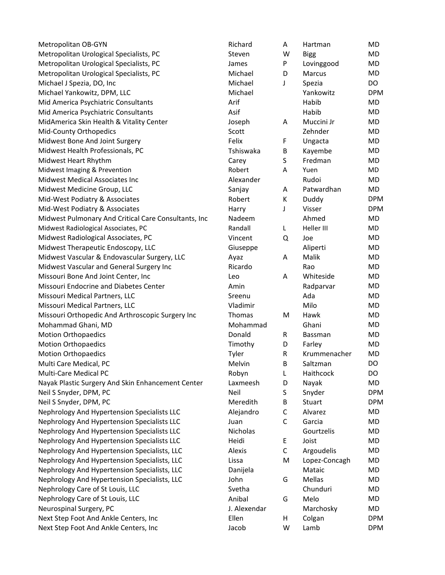Metropolitan OB-GYN Richard A Hartman Monte A Hartman Monte A Hartman Monte A Hartman Monte A Hartman Monte A H Metropolitan Urological Specialists, PC Steven W Bigg M Metropolitan Urological Specialists, PC and Motropolitan Urological Specialists, PC Metropolitan Urological Specialists, PC MICHAEL M Michael J Spezia, DO, Inc Michael J Spezia, DO, Inc Michael M Michael Yankowitz, DPM, LLC Michael Yankowitz DPM, LLC Mid America Psychiatric Consultants **Arif Habib Manual Arif Habib Manual Arif Habib Manual Arit Manual Arif Habib Manual Arif Habib Manual Arif Habib Manual Arif Habib Manual Arif Habib Manual Arif Habib Manual Arif Habib** Mid America Psychiatric Consultants Mid America As MidAmerica Skin Health & Vitality Center and Muchamerica Schin Health & Vitality Center Mid-County Orthopedics Scott Zehn Mid-County Orthopedics Midwest Bone And Joint Surgery Felix Felix Felix Felix Felix Felix Felix Fe Midwest Health Professionals, PC Tshiswake Monetationals, PC Midwest Heart Rhythm Carey S Fredman MD Midwest Imaging & Prevention **Robert A Yuen Manual** Robert A Robert A Robert A Robert A Wuen Monet A Yuen Monet A Yuen Monet A Yuen Monet A Yuen Monet A Yuen Monet A Yuen Monet A Yuen Monet A Yuen Monet A Yuen Monet A Yuen Midwest Medical Associates Inc **Alexander Rudoi Material Ade** Midwest Medicine Group, LLC Sangalay A Patwardhan Sanga Mid-West Podiatry & Associates Report A Duddy Report Report Report A Dudge Mid-West Podiatry & Associates **Harry Access Provides** Harry And Midwest Pulmonary And Critical Care Consultants, Inc Na Midwest Radiological Associates, PC and L Heller III Randall Randall R Heller III Manual R Heller III Mondates Midwest Radiological Associates, PC and A View Manuscript Q Vi Midwest Therapeutic Endoscopy, LLC Giuseppe Aliperti Moneta Midwest Vascular & Endovascular Surgery, LLC A Midwest Vascular and General Surgery Inc **Riggery** Ricardo Ricardo Ricardo Ricardo Ricardo Ricardo Ricardo Ricardo Ricardo Ricardo Ricardo Ricardo Ricardo Ricardo Ricardo Ricardo Ricardo Ricardo Ricardo Ricardo Ricardo Ric Missouri Bone And Joint Center, Inc **Missouri** Bone And Joint Center, Inc Missouri Endocrine and Diabetes Center Amin Radparvar Martin Rad Missouri Medical Partners, LLC Sreenu Adam Sreenu Adam Sreenu Adam Sreenu Adam Sr Missouri Medical Partners, LLC VI Missouri Orthopedic And Arthroscopic Surgery Inc Thomas Mohammad Ghani, MD Mohammad Ghani MD Motion Orthopaedics Donald R Bassman Motion Orthopaedics Motion Orthopaedics Timothy D Farley Motion D Farley MD Farley MD Farley MD Farley MD Farley MD Farley MD Farley MD Farley MD Farley MD Farley MD Farley MD Farley MD Farley MD Farley MD Farley MD Farley MD Farley MD Farley Motion Orthopaedics Ty Multi Care Medical, PC Melvin B Saltzman DO Melvin B Saltzman DO Melvin B Saltzman DO M Multi-Care Medical PC **Robyn Lawrence DO** Robyn Robyn Robyn Robyn Robyn Robyn Robyn Robyn Robyn Robyn Robyn Robyn Robyn Robyn Robyn Robyn Robyn Robyn Robyn Robyn Robyn Robyn Robyn Robyn Robyn Robyn Robyn Robyn Robyn Robyn Nayak Plastic Surgery And Skin Enhancement Center La Neil S Snyder, DPM, PC Neil S Snyder, DPM, PC Neil S Snyder, DPM, PC Meredith B Shyder, DPM, PC Nephrology And Hypertension Specialists LLC Al Nephrology And Hypertension Specialists LLC Ju Nephrology And Hypertension Specialists LLC Nicholas Gourtzelis Mi Nephrology And Hypertension Specialists LLC He Nephrology And Hypertension Specialists, LLC Alexandelis Alexis C Alexis C AI Nephrology And Hypertension Specialists, LLC Lis Nephrology And Hypertension Specialists, LLC Danimology Nephrology And Hypertension Specialists, LLC John G Mellas Mo Nephrology Care of St Louis, LLC Svethal Chunduri Monet Chunduri Monet Chunduri MONE Nephrology Care of St Louis, LLC Animal G Melo Management And Neurospinal Surgery, PC J. Next Step Foot And Ankle Centers, Inc Fig. 1988. The Ellen H College Ellen H College Ellen H College Ellen H Col Next Step Foot And Ankle Centers, Inc **Next Step Foot And Ankle Centers**, Inc

| chard            | A | Hartman       | MD         |
|------------------|---|---------------|------------|
| even             | W | <b>Bigg</b>   | MD         |
| mes              | P | Lovinggood    | MD         |
| lichael          | D | Marcus        | MD         |
| lichael          | J | Spezia        | DO         |
| ichael           |   | Yankowitz     | <b>DPM</b> |
| ʻif              |   | Habib         | MD         |
| sif              |   | Habib         | MD         |
| seph             | Α | Muccini Jr    | <b>MD</b>  |
| :ott             |   | Zehnder       | MD         |
| elix             | F | Ungacta       | MD         |
| hiswaka          | B | Kayembe       | MD         |
| arey             | S | Fredman       | MD         |
| bert             | A | Yuen          | MD         |
| exander          |   | Rudoi         | MD         |
| injay            | A | Patwardhan    | MD         |
| bert             | K | Duddy         | <b>DPM</b> |
| arry             | J | Visser        | <b>DPM</b> |
| adeem            |   | Ahmed         | MD         |
| andall           | L | Heller III    | MD         |
| ncent            | Q | Joe           | MD         |
| iuseppe          |   | Aliperti      | MD         |
| yaz              | А | Malik         | MD         |
| cardo            |   | Rao           | MD         |
| ٥.               | A | Whiteside     | MD         |
| min              |   | Radparvar     | MD         |
| eenu             |   | Ada           | <b>MD</b>  |
| adimir           |   | Milo          | MD         |
| าomas            | м | Hawk          | MD         |
| lohammad         |   | Ghani         | MD         |
| onald            | R | Bassman       | MD         |
| mothy            | D | Farley        | MD         |
| <sub>/</sub> ler | R | Krummenacher  | MD         |
| lelvin           | В | Saltzman      | DO         |
| obyn             | L | Haithcock     | DO         |
| ıxmeesh          | D | Nayak         | MD         |
| eil              | S | Snyder        | <b>DPM</b> |
| leredith         | В | Stuart        | <b>DPM</b> |
| ejandro          | C | Alvarez       | MD         |
| an               | C | Garcia        | MD         |
| icholas          |   | Gourtzelis    | MD         |
| eidi             | Ε | Joist         | MD         |
| exis             | C | Argoudelis    | MD         |
| ssa              | M | Lopez-Concagh | MD         |
| anijela          |   | Mataic        | MD         |
| ۱hn              | G | Mellas        | MD         |
| etha             |   | Chunduri      | MD         |
| nibal            | G | Melo          | MD         |
| Alexendar        |   | Marchosky     | MD         |
| len              | н | Colgan        | <b>DPM</b> |
| cob              | W | Lamb          | <b>DPM</b> |
|                  |   |               |            |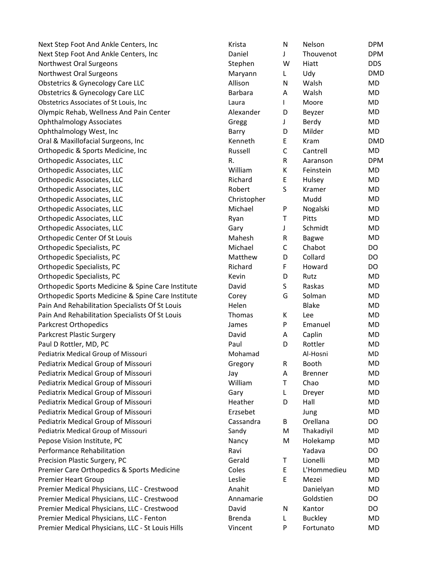Next Step Foot And Ankle Centers, Inc Krista N Next Next Step Foot And Ankle Centers, Inc Daniel D Northwest Oral Surgeons Stephen W Higgs Stephen W Stephen W Higgs Stephen W Stephen W Stephen W Stephen W Higgs Stephen W Stephen W Stephen W Stephen W Stephen W Stephen W Stephen W Stephen W Stephen W Stephen W Stephen W Northwest Oral Surgeons **Maryann** L Udy DMD Obstetrics & Gynecology Care LLC Allison N MD Obstetrics & Gynecology Care LLC Barbara A Barbara Barbara A Barbara A Barbara A Barbara A Barbara A Barbara A Walsh MD Obstetrics Associates of St Louis, Inc Laura I Moore Muslim I Laura I Moore Muslim I Moore Muslim I Moore Muslim I Moore Muslim I Moore Muslim I Moore Muslim I Moore Muslim I Moore Muslim I Moore Muslim I Moore Muslim I Mo Olympic Rehab, Wellness And Pain Center Alexander A Ophthalmology Associates Gregg And Gregg J Bergeg J Bergeg J Bergeg J Bergeg J Bergeg G Ophthalmology West, Inc Barry D Milder Months and Barry D Milder Months Barry D Milder Months Barry D Milder M Oral & Maxillofacial Surgeons, Inc Kenneth E Kram RMD Orthopedic & Sports Medicine, Inc **Russell Contracts** R Orthopedic Associates, LLC R. R Analysis DPM R Orthopedic Associates, LLC William K Feinstein MD Feinstein MD V Orthopedic Associates, LLC Richard E Hulsey MD Orthopedic Associates, LLC Robert S Kramer MD R Orthopedic Associates, LLC Christopher Mudd Mudd Mudd C Orthopedic Associates, LLC Michael P Nogalski MD Orthopedic Associates, LLC Ryan T Pitts MD Pitts MD Pitts MD Pitts MD Pitts MD Pitts MD Pitts MD Pitts MD Pitts MD Pitts MD Pitts MD Pitts MD Pitts MD Pitts MD Pitts MD Pitts MD Pitts MD Pitts MD Pitts MD Pitts MD Pitts MD Orthopedic Associates, LLC Gary J Schwidt MD Gary J Schwidt Gary J Schwidt Gary J Schwidt Gary J Schwidt Gary J Orthopedic Center Of St Louis Mahesh R Bagwe M Orthopedic Specialists, PC Michael Chabot DO Orthopedic Specialists, PC Matthew D Collard DO Collard DO Collard DO Collard DO Collard DO Collard DO Collard D Orthopedic Specialists, PC **Richard F Howard P Howard P Howard P Howard P Howard P Howard P Howard P Howard DO** Orthopedic Specialists, PC Orthopedic Sports Medicine & Spine Care Institute David David David Sports Medicine & Spine Care Institute Orthopedic Sports Medicine & Spine Care Institute Core Pain And Rehabilitation Specialists Of St Louis Helen Blake Manus Pain And Rehabilitation Specialists Of St Louis Thomas K Lee M Parkcrest Orthopedics and AD Emanuel Markcrest Orthopedics Parkcrest Plastic Surgery David A Capital A Capital A Capital A Capital A Capital A Capital A Capital A Capital A Capital A Capital A Capital A Capital A Capital A Capital A Capital A Capital A Capital A Capital A Capital Paul D Rottler, MD, PC Paul D Rottler MD, PC Pediatrix Medical Group of Missouri Mohamad Al-Hosni Muslim Muslim Muslim Muslim M Pediatrix Medical Group of Missouri **Creational Accord Gregory R** G Pediatrix Medical Group of Missouri and Muslem Muslem Muslem Muslem Muslem Muslem Muslem Muslem Muslem Muslem M Pediatrix Medical Group of Missouri Nilliam T Chao Monte View Pediatrix Medical Group of Missouri Cary L Dreyer Gary L Dreyer Gary L Dreyer Gary L Dreyer Gary Gary L Dreyer Pediatrix Medical Group of Missouri Hall Material Hall Hall Hall Hall Hall Mo Pediatrix Medical Group of Missouri **Erases** E Pediatrix Medical Group of Missouri Cassacre Cassandra C Pediatrix Medical Group of Missouri **Sandy A Thackadiyi** Sandy Sandy M Pepose Vision Institute, PC Nancy MB Performance Rehabilitation Ravi Yadava DO Ravi Ravi Yadava DO Ravi Ravi Yadava DO Ravi Ravi Yadava DO Ravi Rav Precision Plastic Surgery, PC and T Lionelli Motor Gerald T Lionelli MD Gerald T Lionelli MD Gerald T Lionelli MD Premier Care Orthopedics & Sports Medicine Coles E L'Annuel Coles E L'Annuel Model Coles E L'Annuel Model Cole Premier Heart Group Leslie E Mezet Monthly Leslie E Mezet Music Leslie E Mezet Music Les Premier Medical Physicians, LLC - Crestwood Anahiel Anahiel Anahit Daniel Premier Medical Physicians, LLC - Crestwood Annamaries Annamarie Annamarie Goldstien DO Premier Medical Physicians, LLC - Crestwood David N Cantor D Premier Medical Physicians, LLC - Fenton Buckley MD Premier Medical Physicians, LLC - St Louis Hills V

| <rista< th=""><th>Ν</th><th>Nelson</th><th><b>DPM</b></th></rista<> | Ν | Nelson         | <b>DPM</b> |
|---------------------------------------------------------------------|---|----------------|------------|
| <b>Daniel</b>                                                       | J | Thouvenot      | <b>DPM</b> |
| itephen                                                             | W | Hiatt          | <b>DDS</b> |
| Maryann                                                             | L | Udy            | <b>DMD</b> |
| Allison                                                             | Ν | Walsh          | MD         |
| Barbara                                                             | A | Walsh          | MD         |
| .aura                                                               | L | Moore          | MD         |
| <b>Nexander</b>                                                     | D | Beyzer         | MD         |
| Gregg                                                               | J | Berdy          | MD         |
| Barry                                                               | D | Milder         | MD         |
| <b>Cenneth</b>                                                      | E | Kram           | <b>DMD</b> |
| <b>Russell</b>                                                      | C | Cantrell       | MD         |
| ι.                                                                  | R | Aaranson       | <b>DPM</b> |
| Nilliam                                                             | Κ | Feinstein      | MD         |
| <b>Richard</b>                                                      | E | Hulsey         | MD         |
| obert                                                               | S | Kramer         | MD         |
| Christopher                                                         |   | Mudd           | MD         |
| Michael                                                             | P | Nogalski       | MD         |
| <b>kyan</b>                                                         | Τ | Pitts          | MD         |
| Gary                                                                | J | Schmidt        | MD         |
| Mahesh                                                              | R | <b>Bagwe</b>   | MD         |
| Michael                                                             | C | Chabot         | DO         |
| Matthew                                                             | D | Collard        | DO         |
| <b>Richard</b>                                                      | F | Howard         | DO         |
| evin)                                                               | D | Rutz           | MD         |
| )avid                                                               | S | Raskas         | MD         |
| Corey                                                               | G | Solman         | MD         |
| Helen                                                               |   | <b>Blake</b>   | MD         |
| <b>Thomas</b>                                                       | K | Lee            | MD         |
| ames                                                                | P | Emanuel        | MD         |
| )avid                                                               | A | Caplin         | MD         |
| aul                                                                 | D | Rottler        | MD         |
| <b>Mohamad</b>                                                      |   | Al-Hosni       | MD         |
| Gregory                                                             | R | Booth          | MD.        |
| ay                                                                  | Α | <b>Brenner</b> | MD         |
| <b>Nilliam</b>                                                      | Τ | Chao           | MD         |
| Gary                                                                | L | Dreyer         | MD         |
| <b>Heather</b>                                                      | D | Hall           | <b>MD</b>  |
| rzsebet                                                             |   | Jung           | MD         |
| Cassandra                                                           | В | Orellana       | DO         |
| iandy                                                               | M | Thakadiyil     | MD         |
| Vancy                                                               | M | Holekamp       | MD         |
| ≷avi                                                                |   | Yadava         | DO         |
| Gerald                                                              | т | Lionelli       | MD         |
| Coles                                                               | E | L'Hommedieu    | MD         |
| eslie                                                               | E | Mezei          | MD         |
| <b>Anahit</b>                                                       |   | Danielyan      | MD         |
| Annamarie                                                           |   | Goldstien      | DO         |
| )avid                                                               | Ν | Kantor         | DO         |
| Brenda                                                              | L | <b>Buckley</b> | MD         |
| /incent                                                             | P | Fortunato      | MD         |
|                                                                     |   |                |            |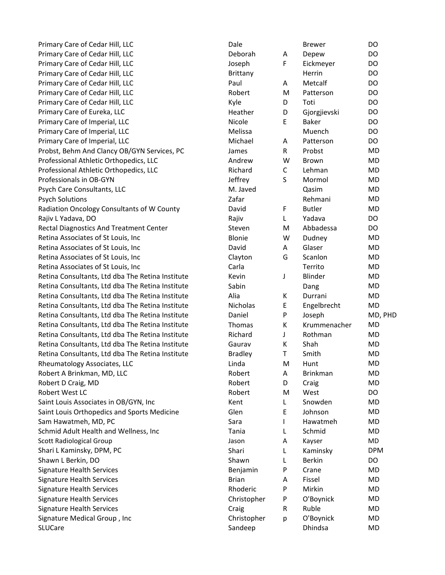| Primary Care of Cedar Hill, LLC                  | Dale            |              | <b>Brewer</b>   | DO         |
|--------------------------------------------------|-----------------|--------------|-----------------|------------|
| Primary Care of Cedar Hill, LLC                  | Deborah         | A            | Depew           | DO         |
| Primary Care of Cedar Hill, LLC                  | Joseph          | F            | Eickmeyer       | DO         |
| Primary Care of Cedar Hill, LLC                  | <b>Brittany</b> |              | Herrin          | DO         |
| Primary Care of Cedar Hill, LLC                  | Paul            | A            | Metcalf         | DO         |
| Primary Care of Cedar Hill, LLC                  | Robert          | M            | Patterson       | DO         |
| Primary Care of Cedar Hill, LLC                  | Kyle            | D            | Toti            | DO         |
| Primary Care of Eureka, LLC                      | Heather         | D            | Gjorgjievski    | DO         |
| Primary Care of Imperial, LLC                    | Nicole          | E            | <b>Baker</b>    | DO         |
| Primary Care of Imperial, LLC                    | Melissa         |              | Muench          | DO         |
| Primary Care of Imperial, LLC                    | Michael         | A            | Patterson       | DO         |
| Probst, Behm And Clancy OB/GYN Services, PC      | James           | $\mathsf{R}$ | Probst          | <b>MD</b>  |
| Professional Athletic Orthopedics, LLC           | Andrew          | W            | <b>Brown</b>    | MD         |
| Professional Athletic Orthopedics, LLC           | Richard         | C            | Lehman          | MD         |
| Professionals in OB-GYN                          | Jeffrey         | $\sf S$      | Mormol          | <b>MD</b>  |
| Psych Care Consultants, LLC                      | M. Javed        |              | Qasim           | MD         |
| <b>Psych Solutions</b>                           | Zafar           |              | Rehmani         | MD         |
| Radiation Oncology Consultants of W County       | David           | F            | <b>Butler</b>   | MD         |
| Rajiv L Yadava, DO                               | Rajiv           | L            | Yadava          | <b>DO</b>  |
| Rectal Diagnostics And Treatment Center          | Steven          | M            | Abbadessa       | DO         |
| Retina Associates of St Louis, Inc               | Blonie          | W            | Dudney          | <b>MD</b>  |
| Retina Associates of St Louis, Inc               | David           | A            | Glaser          | MD         |
| Retina Associates of St Louis, Inc               | Clayton         | G            | Scanlon         | MD         |
| Retina Associates of St Louis, Inc               | Carla           |              | Territo         | MD         |
| Retina Consultants, Ltd dba The Retina Institute | Kevin           | J            | Blinder         | MD         |
| Retina Consultants, Ltd dba The Retina Institute | Sabin           |              | Dang            | MD         |
| Retina Consultants, Ltd dba The Retina Institute | Alia            | К            | Durrani         | MD         |
| Retina Consultants, Ltd dba The Retina Institute | Nicholas        | E            | Engelbrecht     | <b>MD</b>  |
| Retina Consultants, Ltd dba The Retina Institute | Daniel          | P            | Joseph          | MD, PHD    |
| Retina Consultants, Ltd dba The Retina Institute | Thomas          | К            | Krummenacher    | MD         |
| Retina Consultants, Ltd dba The Retina Institute | Richard         | J            | Rothman         | MD         |
| Retina Consultants, Ltd dba The Retina Institute | Gaurav          | К            | Shah            | MD         |
| Retina Consultants, Ltd dba The Retina Institute | <b>Bradley</b>  | T            | Smith           | <b>MD</b>  |
| Rheumatology Associates, LLC                     | Linda           | M            | Hunt            | MD         |
| Robert A Brinkman, MD, LLC                       | Robert          | Α            | <b>Brinkman</b> | MD         |
| Robert D Craig, MD                               | Robert          | D            | Craig           | MD         |
| Robert West LC                                   | Robert          | M            | West            | DO         |
| Saint Louis Associates in OB/GYN, Inc            | Kent            | L            | Snowden         | MD         |
| Saint Louis Orthopedics and Sports Medicine      | Glen            | E            | Johnson         | <b>MD</b>  |
| Sam Hawatmeh, MD, PC                             | Sara            | L            | Hawatmeh        | MD         |
| Schmid Adult Health and Wellness, Inc            | Tania           | L            | Schmid          | MD         |
| <b>Scott Radiological Group</b>                  | Jason           | Α            | Kayser          | MD         |
| Shari L Kaminsky, DPM, PC                        | Shari           | L            | Kaminsky        | <b>DPM</b> |
| Shawn L Berkin, DO                               | Shawn           | L            | <b>Berkin</b>   | DO         |
| <b>Signature Health Services</b>                 | Benjamin        | P            | Crane           | MD         |
| <b>Signature Health Services</b>                 | <b>Brian</b>    | Α            | Fissel          | MD         |
| <b>Signature Health Services</b>                 | Rhoderic        | P            | Mirkin          | MD         |
| <b>Signature Health Services</b>                 | Christopher     | P            | O'Boynick       | MD         |
| <b>Signature Health Services</b>                 | Craig           | R            | Ruble           | MD         |
| Signature Medical Group, Inc                     | Christopher     | p            | O'Boynick       | MD         |
| SLUCare                                          | Sandeep         |              | Dhindsa         | MD         |
|                                                  |                 |              |                 |            |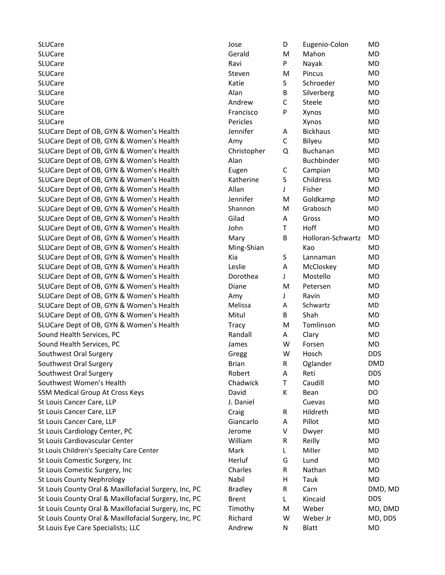| <b>SLUCare</b>                                        | Jose           | D            | Eugenio-Colon     | MD         |
|-------------------------------------------------------|----------------|--------------|-------------------|------------|
| SLUCare                                               | Gerald         | М            | Mahon             | MD         |
| SLUCare                                               | Ravi           | P            | Nayak             | MD         |
| SLUCare                                               | Steven         | M            | Pincus            | MD         |
| SLUCare                                               | Katie          | S            | Schroeder         | MD         |
| SLUCare                                               | Alan           | B            | Silverberg        | MD         |
| SLUCare                                               | Andrew         | $\mathsf C$  | Steele            | MD         |
| SLUCare                                               | Francisco      | P            | Xynos             | MD         |
| SLUCare                                               | Pericles       |              | Xynos             | MD         |
| SLUCare Dept of OB, GYN & Women's Health              | Jennifer       | A            | <b>Bickhaus</b>   | MD         |
| SLUCare Dept of OB, GYN & Women's Health              | Amy            | $\mathsf{C}$ | Bilyeu            | MD         |
| SLUCare Dept of OB, GYN & Women's Health              | Christopher    | Q            | Buchanan          | MD         |
| SLUCare Dept of OB, GYN & Women's Health              | Alan           |              | Buchbinder        | MD         |
| SLUCare Dept of OB, GYN & Women's Health              | Eugen          | С            | Campian           | MD         |
| SLUCare Dept of OB, GYN & Women's Health              | Katherine      | S            | Childress         | MD         |
| SLUCare Dept of OB, GYN & Women's Health              | Allan          | J            | Fisher            | MD         |
| SLUCare Dept of OB, GYN & Women's Health              | Jennifer       | M            | Goldkamp          | MD         |
| SLUCare Dept of OB, GYN & Women's Health              | Shannon        | M            | Grabosch          | MD         |
| SLUCare Dept of OB, GYN & Women's Health              | Gilad          | A            | Gross             | MD         |
| SLUCare Dept of OB, GYN & Women's Health              | John           | T.           | Hoff              | MD         |
| SLUCare Dept of OB, GYN & Women's Health              | Mary           | B            | Holloran-Schwartz | MD         |
| SLUCare Dept of OB, GYN & Women's Health              | Ming-Shian     |              | Kao               | MD         |
| SLUCare Dept of OB, GYN & Women's Health              | Kia            | S            | Lannaman          | MD         |
| SLUCare Dept of OB, GYN & Women's Health              | Leslie         | Α            | McCloskey         | MD         |
| SLUCare Dept of OB, GYN & Women's Health              | Dorothea       | J            | Mostello          | MD         |
| SLUCare Dept of OB, GYN & Women's Health              | Diane          | M            | Petersen          | MD         |
| SLUCare Dept of OB, GYN & Women's Health              | Amy            | J            | Ravin             | MD         |
| SLUCare Dept of OB, GYN & Women's Health              | Melissa        | A            | Schwartz          | MD         |
| SLUCare Dept of OB, GYN & Women's Health              | Mitul          | B            | Shah              | MD         |
| SLUCare Dept of OB, GYN & Women's Health              | <b>Tracy</b>   | М            | Tomlinson         | MD         |
| Sound Health Services, PC                             | Randall        | Α            | Clary             | MD         |
| Sound Health Services, PC                             | James          | W            | Forsen            | MD         |
| Southwest Oral Surgery                                | Gregg          | W            | Hosch             | <b>DDS</b> |
| Southwest Oral Surgery                                | <b>Brian</b>   | R            | Oglander          | <b>DMD</b> |
| Southwest Oral Surgery                                | Robert         | A            | Reti              | <b>DDS</b> |
| Southwest Women's Health                              | Chadwick       | Τ            | Caudill           | MD         |
| SSM Medical Group At Cross Keys                       | David          | Κ            | Bean              | DO         |
| St Louis Cancer Care, LLP                             | J. Daniel      |              | Cuevas            | MD         |
| St Louis Cancer Care, LLP                             | Craig          | R            | Hildreth          | MD         |
| St Louis Cancer Care, LLP                             | Giancarlo      | Α            | Pillot            | MD         |
| St Louis Cardiology Center, PC                        | Jerome         | V            | Dwyer             | MD         |
| St Louis Cardiovascular Center                        | William        | R            | Reilly            | MD         |
| St Louis Children's Specialty Care Center             | Mark           | L            | Miller            | MD         |
| St Louis Comestic Surgery, Inc                        | Herluf         | G            | Lund              | MD         |
| St Louis Comestic Surgery, Inc                        | Charles        | R            | Nathan            | MD         |
| St Louis County Nephrology                            | Nabil          | н            | Tauk              | <b>MD</b>  |
| St Louis County Oral & Maxillofacial Surgery, Inc, PC | <b>Bradley</b> | R            | Carn              | DMD, MD    |
| St Louis County Oral & Maxillofacial Surgery, Inc, PC | <b>Brent</b>   | L            | Kincaid           | <b>DDS</b> |
| St Louis County Oral & Maxillofacial Surgery, Inc, PC | Timothy        | M            | Weber             | MD, DMD    |
| St Louis County Oral & Maxillofacial Surgery, Inc, PC | Richard        | W            | Weber Jr          | MD, DDS    |
| St Louis Eye Care Specialists; LLC                    | Andrew         | N            | <b>Blatt</b>      | MD         |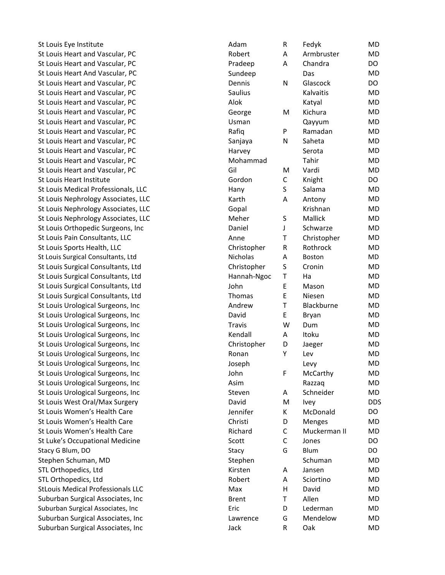St Louis Eye Institute St Louis Heart and Vascular, PC Robert 2008 and Robert 2008 St Louis Heart and Vascular, PC Prade example and Prade practice of Prade St Louis Heart And Vascular, PC St Louis Heart and Vascular, PC Dennis Dennis Dennis Dennis Dennis Dennis Dennis Dennis Dennis Dennis Dennis D St Louis Heart and Vascular, PC St Louis Heart and Vascular, PC St Louis Heart and Vascular, PC George George George George George George George George George George George G St Louis Heart and Vascular, PC Using Management Control Control of Layers and Management Control O St Louis Heart and Vascular, PC Rafique Rafique Rafique Rafique Rafique Rafique R St Louis Heart and Vascular, PC St Louis Heart and Vascular, PC St Louis Heart and Vascular, PC St Louis Heart and Vascular, PC St Louis Heart Institute St Louis Medical Professionals, LLC St Louis Nephrology Associates, LLC St Louis Nephrology Associates, LLC St Louis Nephrology Associates, LLC St Louis Orthopedic Surgeons, Inc Daniel Base Courses St Louis Pain Consultants, LLC St Louis Sports Health, LLC St Louis Surgical Consultants, Ltd Nicholas Nicholas Nicholas Nicholas Nicholas Nicholas Nicholas Nicholas Nic St Louis Surgical Consultants, Ltd Christopher Christopher Christopher Christopher Christopher Christopher Christopher Christopher Christopher Christopher Christopher Christopher Christopher Christopher Christopher Christo St Louis Surgical Consultants, Ltd Hannah-Ngoch Hannah-Hannah-Hannah-Hannah-Hannah-Hannah-Hannah-Hannah-Hannah-St Louis Surgical Consultants, Ltd St Louis Surgical Consultants, Ltd St Louis Urological Surgeons, Inc St Louis Urological Surgeons, Inc David David David David David David David David David David David David Davi St Louis Urological Surgeons, Inc St Louis Urological Surgeons, Inc Kendall Surgeons and Kendall Surgeons of Kendall Surgeons of Kendall Surgeons St Louis Urological Surgeons, Inc Christopher Christopher Christopher Christopher Christopher Christopher Christopher Christopher Christopher Christopher Christopher Christopher Christopher Christopher Christopher Christop St Louis Urological Surgeons, Inc St Louis Urological Surgeons, Inc St Louis Urological Surgeons, Inc St Louis Urological Surgeons, Inc Asim Razzar MD Asim Razza St Louis Urological Surgeons, Inc. St Louis West Oral/Max Surgery David David David David David David David David D St Louis Women's Health Care St Louis Women's Health Care Christian Christian Christian Christian Christian Christian Christian Christian C St Louis Women's Health Care Richards Controller Richards Richards Richards Richards Richards Richards Richards St Luke's Occupational Medicine Stacy G Blum, DO Stephen Schuman, MD STL Orthopedics, Ltd Kirsten Anders Kirsten Anders Kirsten Anders Kirsten Anders K STL Orthopedics, Ltd Robert Robert Robert Robert Robert Robert Robert Robert Robert Robert Robert Robert Robert Robert Robert Robert Robert Robert Robert Robert Robert Robert Robert Robert Robert Robert Robert Robert Rober StLouis Medical Professionals LLC Maximum Maximum N Suburban Surgical Associates, Inc Brent Brent Brent Brent Brent Brent Brent Brent Brent Brend Brend Brend Bre Suburban Surgical Associates, Inc Eric Suburban Surgical Associates, Inc Lawrence Lawrence Lawrence Suburban Surgical Associates, Inc

| Adam            | R | Fedyk         | MD         |
|-----------------|---|---------------|------------|
| Robert          | A | Armbruster    | MD         |
| Pradeep         | A | Chandra       | DO         |
| Sundeep         |   | Das           | MD         |
| Dennis          | N | Glascock      | DO         |
| Saulius         |   | Kalvaitis     | <b>MD</b>  |
| Alok            |   | Katyal        | MD         |
| George          | M | Kichura       | MD         |
| Jsman           |   | Qayyum        | <b>MD</b>  |
| Rafiq           | P | Ramadan       | MD         |
| Sanjaya         | N | Saheta        | MD         |
| Harvey          |   | Serota        | MD         |
| Mohammad        |   | Tahir         | MD         |
| Gil             | M | Vardi         | MD         |
| Gordon          | C | Knight        | DO         |
| Hany            | S | Salama        | MD         |
| Karth           | A | Antony        | <b>MD</b>  |
| Gopal           |   | Krishnan      | <b>MD</b>  |
| Meher           | S | Mallick       | MD         |
| Daniel          | J | Schwarze      | MD         |
| Anne            | T | Christopher   | MD         |
| Christopher     | R | Rothrock      | MD         |
| <b>Nicholas</b> | A | <b>Boston</b> | <b>MD</b>  |
| Christopher     | S | Cronin        | <b>MD</b>  |
| Hannah-Ngoc     | T | Ha            | <b>MD</b>  |
| lohn            | E | Mason         | MD         |
| <b>Thomas</b>   | E | Niesen        | MD         |
| Andrew          | T | Blackburne    | MD         |
| David           | E | Bryan         | MD         |
| <b>Travis</b>   | W | Dum           | MD         |
| Kendall         | A | Itoku         | MD         |
| Christopher     | D | Jaeger        | MD         |
| Ronan           | Υ | Lev           | <b>MD</b>  |
| loseph          |   | Levy          | MD         |
| lohn            | F | McCarthy      | <b>MD</b>  |
| Asim            |   | Razzaq        | MD         |
| Steven          | Α | Schneider     | MD         |
| David           | M | Ivey          | <b>DDS</b> |
| lennifer        | K | McDonald      | DO         |
| Christi         | D | Menges        | MD         |
| Richard         | C | Muckerman II  | MD         |
| Scott           | C | Jones         | DO         |
| Stacy           | G | Blum          | DO         |
| Stephen         |   | Schuman       | MD         |
| <b>Kirsten</b>  | A | Jansen        | MD         |
| Robert          | A | Sciortino     | MD         |
| Max             | Η | David         | MD         |
| 3rent           | Τ | Allen         | MD         |
| -ric            | D | Lederman      | MD         |
| Lawrence        | G | Mendelow      | MD         |
| lack            | R | Oak           | MD         |
|                 |   |               |            |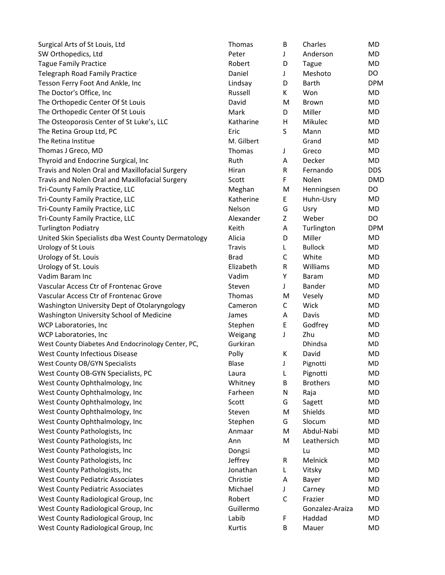| Surgical Arts of St Louis, Ltd                      | Thomas        | В           | Charles         | MD         |
|-----------------------------------------------------|---------------|-------------|-----------------|------------|
| SW Orthopedics, Ltd                                 | Peter         | J           | Anderson        | MD         |
| <b>Tague Family Practice</b>                        | Robert        | D           | Tague           | MD         |
| <b>Telegraph Road Family Practice</b>               | Daniel        | J           | Meshoto         | DO         |
| Tesson Ferry Foot And Ankle, Inc                    | Lindsay       | D           | Barth           | <b>DPM</b> |
| The Doctor's Office, Inc                            | Russell       | К           | Won             | MD         |
| The Orthopedic Center Of St Louis                   | David         | M           | <b>Brown</b>    | MD         |
| The Orthopedic Center Of St Louis                   | Mark          | D           | Miller          | MD         |
| The Osteoporosis Center of St Luke's, LLC           | Katharine     | Η           | Mikulec         | MD         |
| The Retina Group Ltd, PC                            | Eric          | S           | Mann            | MD         |
| The Retina Institue                                 | M. Gilbert    |             | Grand           | MD         |
| Thomas J Greco, MD                                  | Thomas        | J           | Greco           | MD         |
| Thyroid and Endocrine Surgical, Inc                 | Ruth          | Α           | Decker          | MD         |
| Travis and Nolen Oral and Maxillofacial Surgery     | Hiran         | R           | Fernando        | <b>DDS</b> |
| Travis and Nolen Oral and Maxillofacial Surgery     | Scott         | F           | Nolen           | <b>DMD</b> |
| Tri-County Family Practice, LLC                     | Meghan        | M           | Henningsen      | DO         |
| Tri-County Family Practice, LLC                     | Katherine     | E           | Huhn-Usry       | MD         |
| Tri-County Family Practice, LLC                     | Nelson        | G           | Usry            | MD         |
| Tri-County Family Practice, LLC                     | Alexander     | Z           | Weber           | <b>DO</b>  |
| <b>Turlington Podiatry</b>                          | Keith         | Α           | Turlington      | <b>DPM</b> |
| United Skin Specialists dba West County Dermatology | Alicia        | D           | Miller          | MD         |
| Urology of St Louis                                 | <b>Travis</b> | L           | <b>Bullock</b>  | MD         |
| Urology of St. Louis                                | <b>Brad</b>   | C           | White           | MD         |
| Urology of St. Louis                                | Elizabeth     | R           | Williams        | MD         |
| Vadim Baram Inc                                     | Vadim         | Υ           | Baram           | MD         |
| Vascular Access Ctr of Frontenac Grove              | Steven        | J           | Bander          | MD         |
| Vascular Access Ctr of Frontenac Grove              | Thomas        | M           | Vesely          | MD         |
| Washington University Dept of Otolaryngology        | Cameron       | C           | Wick            | MD         |
| Washington University School of Medicine            | James         | Α           | Davis           | MD         |
| WCP Laboratories, Inc                               | Stephen       | E           | Godfrey         | MD         |
| WCP Laboratories, Inc                               | Weigang       | J           | Zhu             | MD         |
| West County Diabetes And Endocrinology Center, PC,  | Gurkiran      |             | Dhindsa         | MD         |
| West County Infectious Disease                      | Polly         | К           | David           | MD         |
| <b>West County OB/GYN Specialists</b>               | <b>Blase</b>  | J           | Pignotti        | MD         |
| West County OB-GYN Specialists, PC                  | Laura         | L           | Pignotti        | <b>MD</b>  |
| West County Ophthalmology, Inc                      | Whitney       | B           | <b>Brothers</b> | MD         |
| West County Ophthalmology, Inc                      | Farheen       | N           | Raja            | MD         |
| West County Ophthalmology, Inc                      | Scott         | G           | Sagett          | MD         |
| West County Ophthalmology, Inc                      | Steven        | M           | Shields         | MD         |
| West County Ophthalmology, Inc                      | Stephen       | G           | Slocum          | MD         |
| West County Pathologists, Inc                       | Anmaar        | M           | Abdul-Nabi      | MD         |
| West County Pathologists, Inc                       | Ann           | M           | Leathersich     | MD         |
| West County Pathologists, Inc                       | Dongsi        |             | Lu              | MD         |
| West County Pathologists, Inc                       | Jeffrey       | ${\sf R}$   | Melnick         | <b>MD</b>  |
| West County Pathologists, Inc                       | Jonathan      | L           | Vitsky          | MD         |
| <b>West County Pediatric Associates</b>             | Christie      | A           | Bayer           | MD         |
| <b>West County Pediatric Associates</b>             | Michael       | J           | Carney          | MD         |
| West County Radiological Group, Inc                 | Robert        | $\mathsf C$ | Frazier         | MD         |
| West County Radiological Group, Inc                 | Guillermo     |             | Gonzalez-Araiza | MD         |
| West County Radiological Group, Inc                 | Labib         | F           | Haddad          | MD         |
| West County Radiological Group, Inc                 | Kurtis        | B           | Mauer           | MD         |
|                                                     |               |             |                 |            |